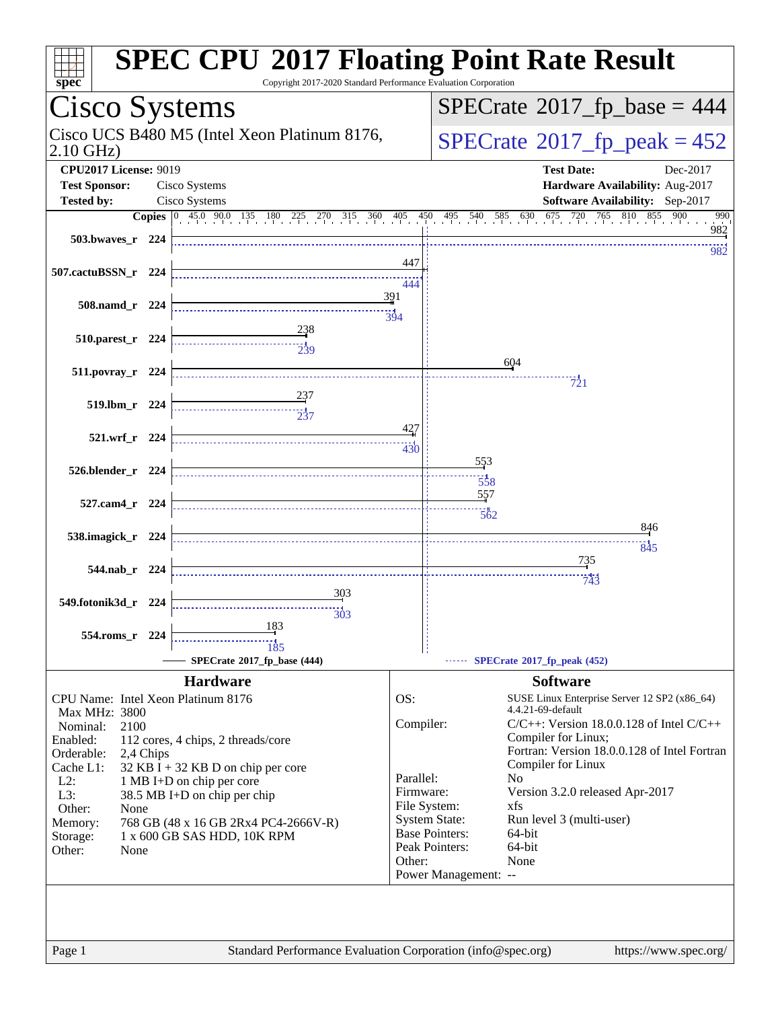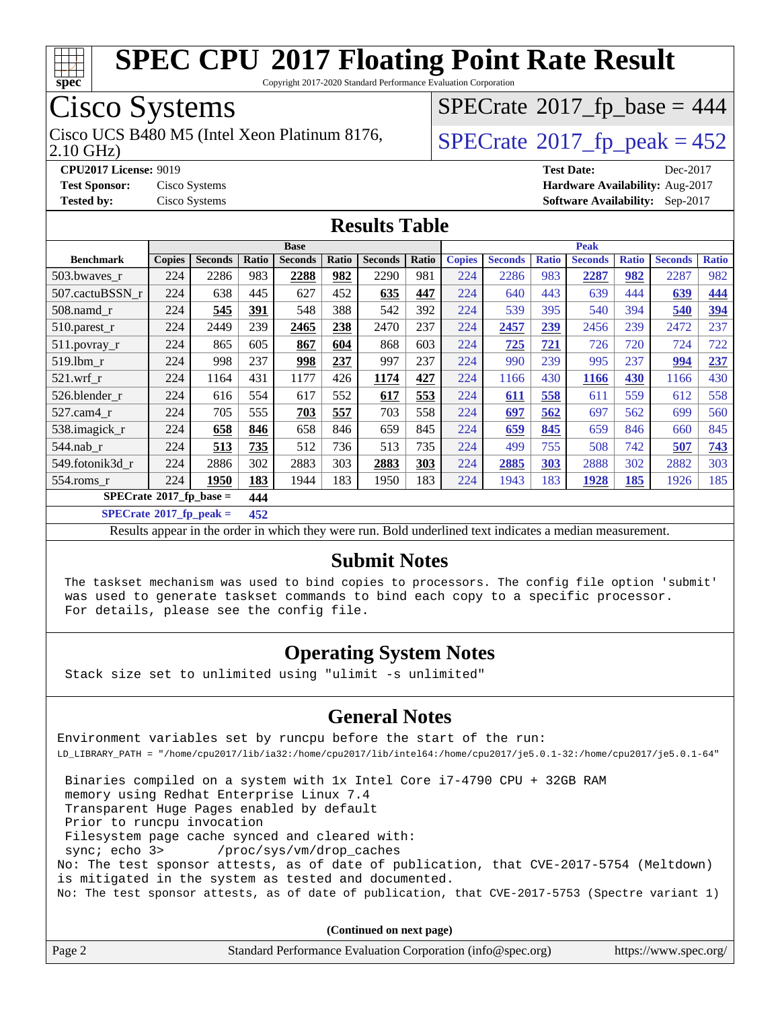

Copyright 2017-2020 Standard Performance Evaluation Corporation

### Cisco Systems

2.10 GHz) Cisco UCS B480 M5 (Intel Xeon Platinum 8176,  $\vert$ [SPECrate](http://www.spec.org/auto/cpu2017/Docs/result-fields.html#SPECrate2017fppeak)®[2017\\_fp\\_peak = 4](http://www.spec.org/auto/cpu2017/Docs/result-fields.html#SPECrate2017fppeak)52

 $SPECTate$ <sup>®</sup>[2017\\_fp\\_base =](http://www.spec.org/auto/cpu2017/Docs/result-fields.html#SPECrate2017fpbase) 444

**[CPU2017 License:](http://www.spec.org/auto/cpu2017/Docs/result-fields.html#CPU2017License)** 9019 **[Test Date:](http://www.spec.org/auto/cpu2017/Docs/result-fields.html#TestDate)** Dec-2017 **[Test Sponsor:](http://www.spec.org/auto/cpu2017/Docs/result-fields.html#TestSponsor)** Cisco Systems **[Hardware Availability:](http://www.spec.org/auto/cpu2017/Docs/result-fields.html#HardwareAvailability)** Aug-2017 **[Tested by:](http://www.spec.org/auto/cpu2017/Docs/result-fields.html#Testedby)** Cisco Systems **[Software Availability:](http://www.spec.org/auto/cpu2017/Docs/result-fields.html#SoftwareAvailability)** Sep-2017

#### **[Results Table](http://www.spec.org/auto/cpu2017/Docs/result-fields.html#ResultsTable)**

|                                        | <b>Base</b>   |                |       |                | <b>Peak</b> |                |       |               |                |              |                |              |                |              |
|----------------------------------------|---------------|----------------|-------|----------------|-------------|----------------|-------|---------------|----------------|--------------|----------------|--------------|----------------|--------------|
| <b>Benchmark</b>                       | <b>Copies</b> | <b>Seconds</b> | Ratio | <b>Seconds</b> | Ratio       | <b>Seconds</b> | Ratio | <b>Copies</b> | <b>Seconds</b> | <b>Ratio</b> | <b>Seconds</b> | <b>Ratio</b> | <b>Seconds</b> | <b>Ratio</b> |
| 503.bwaves_r                           | 224           | 2286           | 983   | 2288           | 982         | 2290           | 981   | 224           | 2286           | 983          | 2287           | 982          | 2287           | 982          |
| 507.cactuBSSN r                        | 224           | 638            | 445   | 627            | 452         | 635            | 447   | 224           | 640            | 443          | 639            | 444          | 639            | 444          |
| $508$ .namd $r$                        | 224           | 545            | 391   | 548            | 388         | 542            | 392   | 224           | 539            | 395          | 540            | 394          | 540            | 394          |
| 510.parest_r                           | 224           | 2449           | 239   | 2465           | 238         | 2470           | 237   | 224           | 2457           | 239          | 2456           | 239          | 2472           | 237          |
| 511.povray_r                           | 224           | 865            | 605   | 867            | 604         | 868            | 603   | 224           | 725            | 721          | 726            | 720          | 724            | 722          |
| 519.1bm r                              | 224           | 998            | 237   | 998            | 237         | 997            | 237   | 224           | 990            | 239          | 995            | 237          | 994            | 237          |
| $521$ .wrf r                           | 224           | 1164           | 431   | 1177           | 426         | 1174           | 427   | 224           | 1166           | 430          | 1166           | 430          | 1166           | 430          |
| 526.blender r                          | 224           | 616            | 554   | 617            | 552         | 617            | 553   | 224           | 611            | 558          | 611            | 559          | 612            | 558          |
| $527.cam4_r$                           | 224           | 705            | 555   | 703            | 557         | 703            | 558   | 224           | 697            | 562          | 697            | 562          | 699            | 560          |
| 538.imagick_r                          | 224           | 658            | 846   | 658            | 846         | 659            | 845   | 224           | 659            | 845          | 659            | 846          | 660            | 845          |
| 544.nab r                              | 224           | 513            | 735   | 512            | 736         | 513            | 735   | 224           | 499            | 755          | 508            | 742          | 507            | 743          |
| 549.fotonik3d r                        | 224           | 2886           | 302   | 2883           | 303         | 2883           | 303   | 224           | 2885           | 303          | 2888           | 302          | 2882           | 303          |
| $554$ .roms $r$                        | 224           | 1950           | 183   | 1944           | 183         | 1950           | 183   | 224           | 1943           | 183          | 1928           | 185          | 1926           | 185          |
| $SPECrate$ <sup>®</sup> 2017_fp_base = |               | 444            |       |                |             |                |       |               |                |              |                |              |                |              |

**[SPECrate](http://www.spec.org/auto/cpu2017/Docs/result-fields.html#SPECrate2017fppeak)[2017\\_fp\\_peak =](http://www.spec.org/auto/cpu2017/Docs/result-fields.html#SPECrate2017fppeak) 452**

Results appear in the [order in which they were run](http://www.spec.org/auto/cpu2017/Docs/result-fields.html#RunOrder). Bold underlined text [indicates a median measurement](http://www.spec.org/auto/cpu2017/Docs/result-fields.html#Median).

#### **[Submit Notes](http://www.spec.org/auto/cpu2017/Docs/result-fields.html#SubmitNotes)**

 The taskset mechanism was used to bind copies to processors. The config file option 'submit' was used to generate taskset commands to bind each copy to a specific processor. For details, please see the config file.

### **[Operating System Notes](http://www.spec.org/auto/cpu2017/Docs/result-fields.html#OperatingSystemNotes)**

Stack size set to unlimited using "ulimit -s unlimited"

#### **[General Notes](http://www.spec.org/auto/cpu2017/Docs/result-fields.html#GeneralNotes)**

Environment variables set by runcpu before the start of the run: LD\_LIBRARY\_PATH = "/home/cpu2017/lib/ia32:/home/cpu2017/lib/intel64:/home/cpu2017/je5.0.1-32:/home/cpu2017/je5.0.1-64"

 Binaries compiled on a system with 1x Intel Core i7-4790 CPU + 32GB RAM memory using Redhat Enterprise Linux 7.4 Transparent Huge Pages enabled by default Prior to runcpu invocation Filesystem page cache synced and cleared with: sync; echo 3> /proc/sys/vm/drop\_caches No: The test sponsor attests, as of date of publication, that CVE-2017-5754 (Meltdown) is mitigated in the system as tested and documented. No: The test sponsor attests, as of date of publication, that CVE-2017-5753 (Spectre variant 1)

**(Continued on next page)**

| Page 2 | Standard Performance Evaluation Corporation (info@spec.org) | https://www.spec.org/ |
|--------|-------------------------------------------------------------|-----------------------|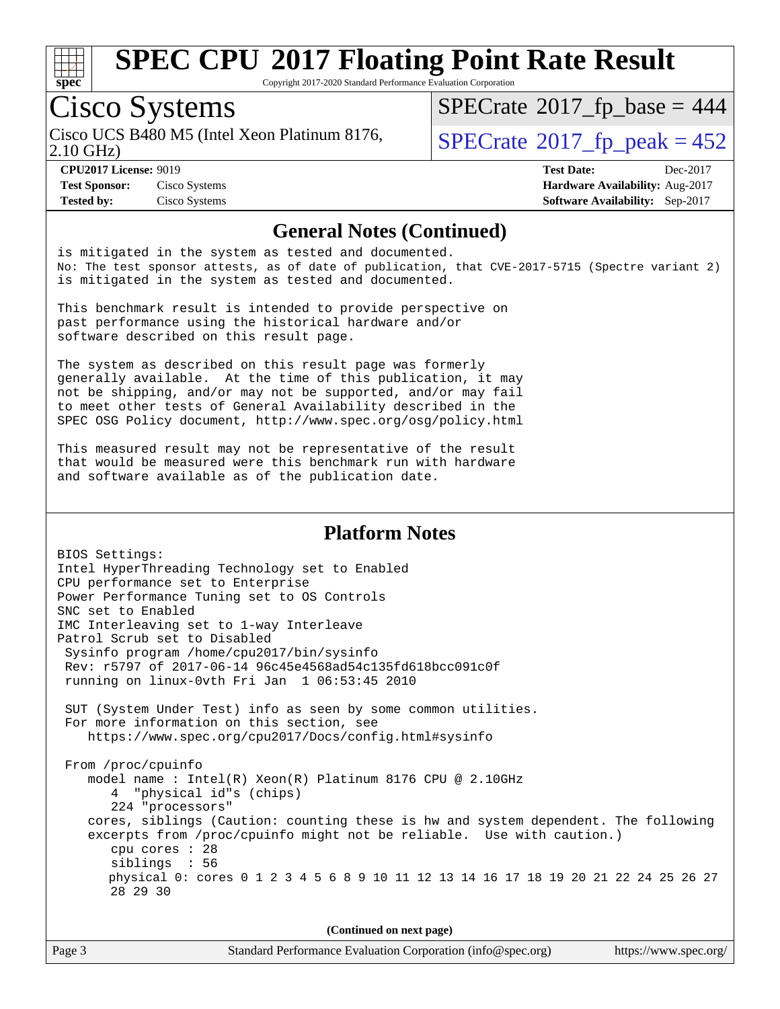

Copyright 2017-2020 Standard Performance Evaluation Corporation

### Cisco Systems

Cisco UCS B480 M5 (Intel Xeon Platinum 8176,  $\vert$ [SPECrate](http://www.spec.org/auto/cpu2017/Docs/result-fields.html#SPECrate2017fppeak)®[2017\\_fp\\_peak = 4](http://www.spec.org/auto/cpu2017/Docs/result-fields.html#SPECrate2017fppeak)52

 $SPECTate$ <sup>®</sup>[2017\\_fp\\_base =](http://www.spec.org/auto/cpu2017/Docs/result-fields.html#SPECrate2017fpbase) 444

2.10 GHz)

**[Tested by:](http://www.spec.org/auto/cpu2017/Docs/result-fields.html#Testedby)** Cisco Systems **[Software Availability:](http://www.spec.org/auto/cpu2017/Docs/result-fields.html#SoftwareAvailability)** Sep-2017

**[CPU2017 License:](http://www.spec.org/auto/cpu2017/Docs/result-fields.html#CPU2017License)** 9019 **[Test Date:](http://www.spec.org/auto/cpu2017/Docs/result-fields.html#TestDate)** Dec-2017 **[Test Sponsor:](http://www.spec.org/auto/cpu2017/Docs/result-fields.html#TestSponsor)** Cisco Systems **[Hardware Availability:](http://www.spec.org/auto/cpu2017/Docs/result-fields.html#HardwareAvailability)** Aug-2017

#### **[General Notes \(Continued\)](http://www.spec.org/auto/cpu2017/Docs/result-fields.html#GeneralNotes)**

is mitigated in the system as tested and documented. No: The test sponsor attests, as of date of publication, that CVE-2017-5715 (Spectre variant 2) is mitigated in the system as tested and documented.

This benchmark result is intended to provide perspective on past performance using the historical hardware and/or software described on this result page.

The system as described on this result page was formerly generally available. At the time of this publication, it may not be shipping, and/or may not be supported, and/or may fail to meet other tests of General Availability described in the SPEC OSG Policy document, <http://www.spec.org/osg/policy.html>

This measured result may not be representative of the result that would be measured were this benchmark run with hardware and software available as of the publication date.

#### **[Platform Notes](http://www.spec.org/auto/cpu2017/Docs/result-fields.html#PlatformNotes)**

BIOS Settings: Intel HyperThreading Technology set to Enabled CPU performance set to Enterprise Power Performance Tuning set to OS Controls SNC set to Enabled IMC Interleaving set to 1-way Interleave Patrol Scrub set to Disabled Sysinfo program /home/cpu2017/bin/sysinfo Rev: r5797 of 2017-06-14 96c45e4568ad54c135fd618bcc091c0f running on linux-0vth Fri Jan 1 06:53:45 2010 SUT (System Under Test) info as seen by some common utilities. For more information on this section, see <https://www.spec.org/cpu2017/Docs/config.html#sysinfo> From /proc/cpuinfo model name : Intel(R) Xeon(R) Platinum 8176 CPU @ 2.10GHz 4 "physical id"s (chips) 224 "processors" cores, siblings (Caution: counting these is hw and system dependent. The following excerpts from /proc/cpuinfo might not be reliable. Use with caution.) cpu cores : 28 siblings : 56 physical 0: cores 0 1 2 3 4 5 6 8 9 10 11 12 13 14 16 17 18 19 20 21 22 24 25 26 27 28 29 30

**(Continued on next page)**

| Page 3 | Standard Performance Evaluation Corporation (info@spec.org) | https://www.spec.org/ |
|--------|-------------------------------------------------------------|-----------------------|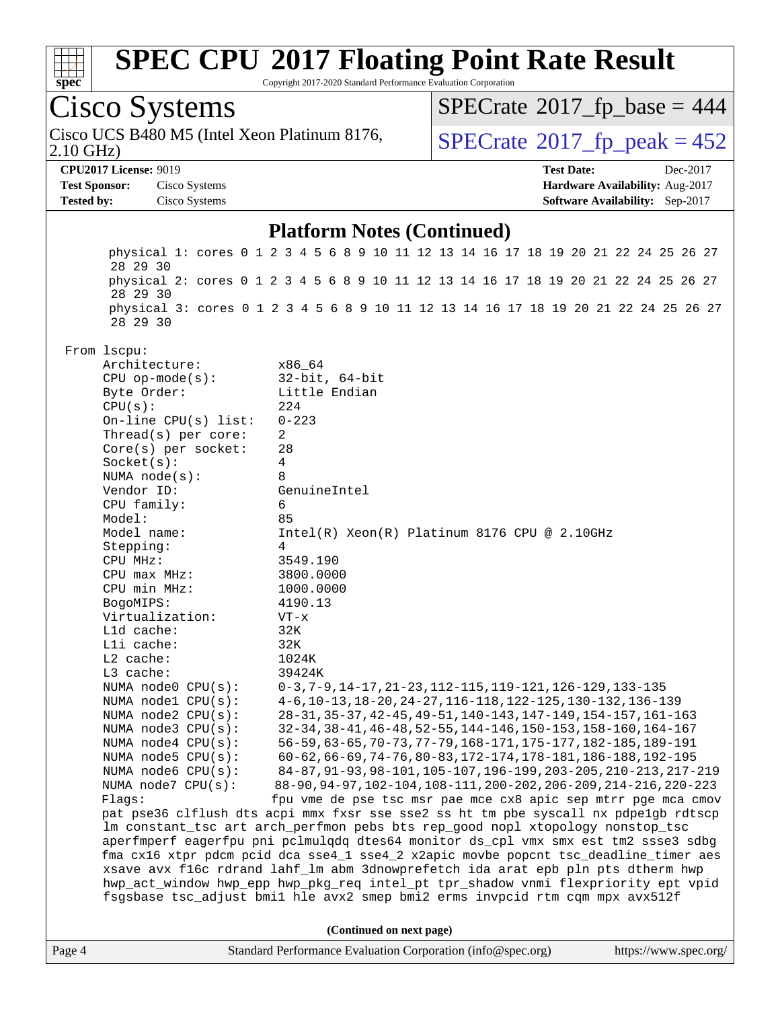

Copyright 2017-2020 Standard Performance Evaluation Corporation

| Cisco Systems                                               |                                                             | $SPECrate$ <sup>®</sup> 2017_fp_base = 444                                                                                                                          |          |
|-------------------------------------------------------------|-------------------------------------------------------------|---------------------------------------------------------------------------------------------------------------------------------------------------------------------|----------|
| Cisco UCS B480 M5 (Intel Xeon Platinum 8176,<br>$2.10$ GHz) |                                                             | $SPECTate^{\circ}2017$ _fp_peak = 452                                                                                                                               |          |
| <b>CPU2017 License: 9019</b>                                |                                                             | <b>Test Date:</b>                                                                                                                                                   | Dec-2017 |
| <b>Test Sponsor:</b><br>Cisco Systems                       |                                                             | Hardware Availability: Aug-2017                                                                                                                                     |          |
| Cisco Systems<br><b>Tested by:</b>                          |                                                             | <b>Software Availability:</b> Sep-2017                                                                                                                              |          |
|                                                             |                                                             |                                                                                                                                                                     |          |
|                                                             | <b>Platform Notes (Continued)</b>                           |                                                                                                                                                                     |          |
| 28 29 30                                                    |                                                             | physical 1: cores 0 1 2 3 4 5 6 8 9 10 11 12 13 14 16 17 18 19 20 21 22 24 25 26 27                                                                                 |          |
| 28 29 30                                                    |                                                             | physical 2: cores 0 1 2 3 4 5 6 8 9 10 11 12 13 14 16 17 18 19 20 21 22 24 25 26 27                                                                                 |          |
| 28 29 30                                                    |                                                             | physical 3: cores 0 1 2 3 4 5 6 8 9 10 11 12 13 14 16 17 18 19 20 21 22 24 25 26 27                                                                                 |          |
| From lscpu:                                                 |                                                             |                                                                                                                                                                     |          |
| Architecture:                                               | x86 64                                                      |                                                                                                                                                                     |          |
| $CPU$ op-mode( $s$ ):                                       | $32$ -bit, $64$ -bit                                        |                                                                                                                                                                     |          |
| Byte Order:                                                 | Little Endian                                               |                                                                                                                                                                     |          |
| CPU(s):                                                     | 224                                                         |                                                                                                                                                                     |          |
| On-line $CPU(s)$ list:                                      | $0 - 223$                                                   |                                                                                                                                                                     |          |
| Thread(s) per core:                                         | $\overline{2}$                                              |                                                                                                                                                                     |          |
| Core(s) per socket:                                         | 28                                                          |                                                                                                                                                                     |          |
| Socket(s):                                                  | 4                                                           |                                                                                                                                                                     |          |
| NUMA $node(s)$ :                                            | 8                                                           |                                                                                                                                                                     |          |
| Vendor ID:                                                  | GenuineIntel                                                |                                                                                                                                                                     |          |
| CPU family:                                                 | 6                                                           |                                                                                                                                                                     |          |
| Model:                                                      | 85                                                          |                                                                                                                                                                     |          |
| Model name:                                                 |                                                             | $Intel(R) Xeon(R) Platinum 8176 CPU @ 2.10GHz$                                                                                                                      |          |
| Stepping:<br>CPU MHz:                                       | 4<br>3549.190                                               |                                                                                                                                                                     |          |
| CPU max MHz:                                                | 3800.0000                                                   |                                                                                                                                                                     |          |
| CPU min MHz:                                                | 1000.0000                                                   |                                                                                                                                                                     |          |
| BogoMIPS:                                                   | 4190.13                                                     |                                                                                                                                                                     |          |
| Virtualization:                                             | $VT - x$                                                    |                                                                                                                                                                     |          |
| L1d cache:                                                  | 32K                                                         |                                                                                                                                                                     |          |
| Lli cache:                                                  | 32K                                                         |                                                                                                                                                                     |          |
| $L2$ cache:                                                 | 1024K                                                       |                                                                                                                                                                     |          |
| L3 cache:                                                   | 39424K                                                      |                                                                                                                                                                     |          |
| NUMA node0 CPU(s):                                          |                                                             | $0-3, 7-9, 14-17, 21-23, 112-115, 119-121, 126-129, 133-135$                                                                                                        |          |
| NUMA node1 CPU(s):                                          |                                                             | 4-6, 10-13, 18-20, 24-27, 116-118, 122-125, 130-132, 136-139                                                                                                        |          |
| NUMA node2 CPU(s):                                          |                                                             | 28-31, 35-37, 42-45, 49-51, 140-143, 147-149, 154-157, 161-163                                                                                                      |          |
| NUMA node3 CPU(s):                                          |                                                             | 32-34, 38-41, 46-48, 52-55, 144-146, 150-153, 158-160, 164-167                                                                                                      |          |
| NUMA node4 CPU(s):                                          |                                                             | 56-59, 63-65, 70-73, 77-79, 168-171, 175-177, 182-185, 189-191                                                                                                      |          |
| NUMA node5 CPU(s):                                          |                                                             | 60-62, 66-69, 74-76, 80-83, 172-174, 178-181, 186-188, 192-195                                                                                                      |          |
| NUMA node6 CPU(s):                                          |                                                             | 84-87, 91-93, 98-101, 105-107, 196-199, 203-205, 210-213, 217-219                                                                                                   |          |
| NUMA node7 CPU(s):                                          |                                                             | 88-90, 94-97, 102-104, 108-111, 200-202, 206-209, 214-216, 220-223                                                                                                  |          |
| Flags:                                                      |                                                             | fpu vme de pse tsc msr pae mce cx8 apic sep mtrr pge mca cmov<br>pat pse36 clflush dts acpi mmx fxsr sse sse2 ss ht tm pbe syscall nx pdpelqb rdtscp                |          |
|                                                             |                                                             |                                                                                                                                                                     |          |
|                                                             |                                                             | lm constant_tsc art arch_perfmon pebs bts rep_good nopl xtopology nonstop_tsc<br>aperfmperf eagerfpu pni pclmulqdq dtes64 monitor ds_cpl vmx smx est tm2 ssse3 sdbg |          |
|                                                             |                                                             | fma cx16 xtpr pdcm pcid dca sse4_1 sse4_2 x2apic movbe popcnt tsc_deadline_timer aes                                                                                |          |
|                                                             |                                                             | xsave avx f16c rdrand lahf_lm abm 3dnowprefetch ida arat epb pln pts dtherm hwp                                                                                     |          |
|                                                             |                                                             | hwp_act_window hwp_epp hwp_pkg_req intel_pt tpr_shadow vnmi flexpriority ept vpid                                                                                   |          |
|                                                             |                                                             | fsgsbase tsc_adjust bmil hle avx2 smep bmi2 erms invpcid rtm cqm mpx avx512f                                                                                        |          |
|                                                             | (Continued on next page)                                    |                                                                                                                                                                     |          |
| Page 4                                                      | Standard Performance Evaluation Corporation (info@spec.org) | https://www.spec.org/                                                                                                                                               |          |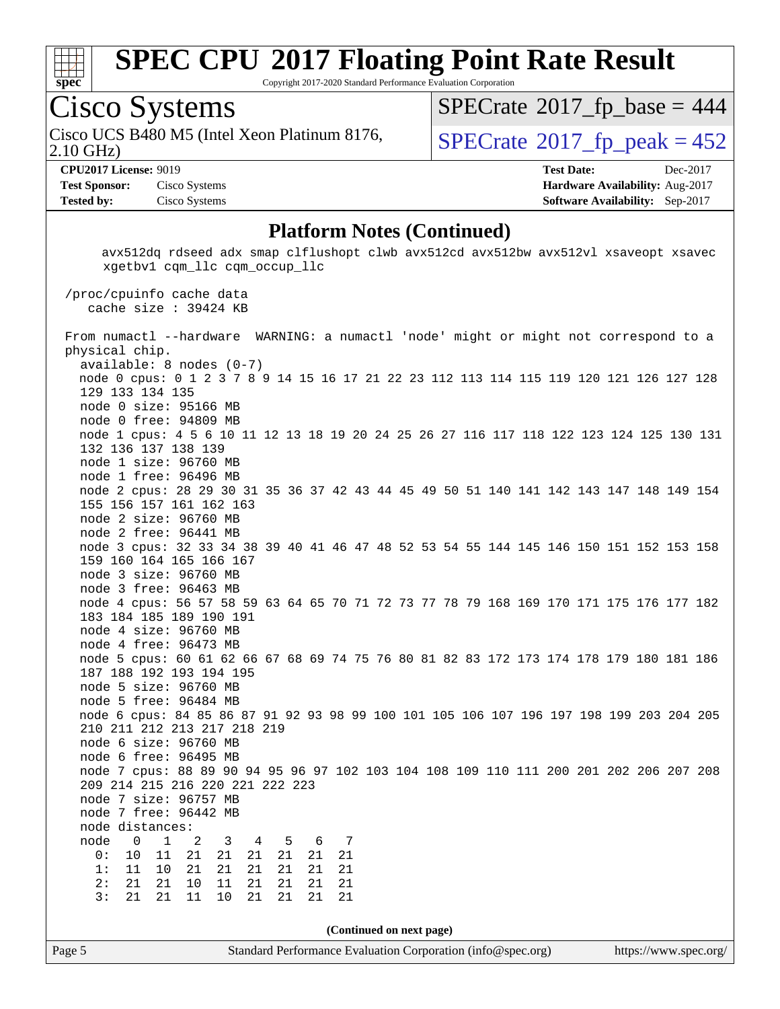

Copyright 2017-2020 Standard Performance Evaluation Corporation

### Cisco Systems

2.10 GHz) Cisco UCS B480 M5 (Intel Xeon Platinum 8176,  $\vert$ [SPECrate](http://www.spec.org/auto/cpu2017/Docs/result-fields.html#SPECrate2017fppeak)®[2017\\_fp\\_peak = 4](http://www.spec.org/auto/cpu2017/Docs/result-fields.html#SPECrate2017fppeak)52

 $SPECTate$ <sup>®</sup>[2017\\_fp\\_base =](http://www.spec.org/auto/cpu2017/Docs/result-fields.html#SPECrate2017fpbase) 444

**[Test Sponsor:](http://www.spec.org/auto/cpu2017/Docs/result-fields.html#TestSponsor)** Cisco Systems **[Hardware Availability:](http://www.spec.org/auto/cpu2017/Docs/result-fields.html#HardwareAvailability)** Aug-2017 **[Tested by:](http://www.spec.org/auto/cpu2017/Docs/result-fields.html#Testedby)** Cisco Systems **[Software Availability:](http://www.spec.org/auto/cpu2017/Docs/result-fields.html#SoftwareAvailability)** Sep-2017

**[CPU2017 License:](http://www.spec.org/auto/cpu2017/Docs/result-fields.html#CPU2017License)** 9019 **[Test Date:](http://www.spec.org/auto/cpu2017/Docs/result-fields.html#TestDate)** Dec-2017

#### **[Platform Notes \(Continued\)](http://www.spec.org/auto/cpu2017/Docs/result-fields.html#PlatformNotes)**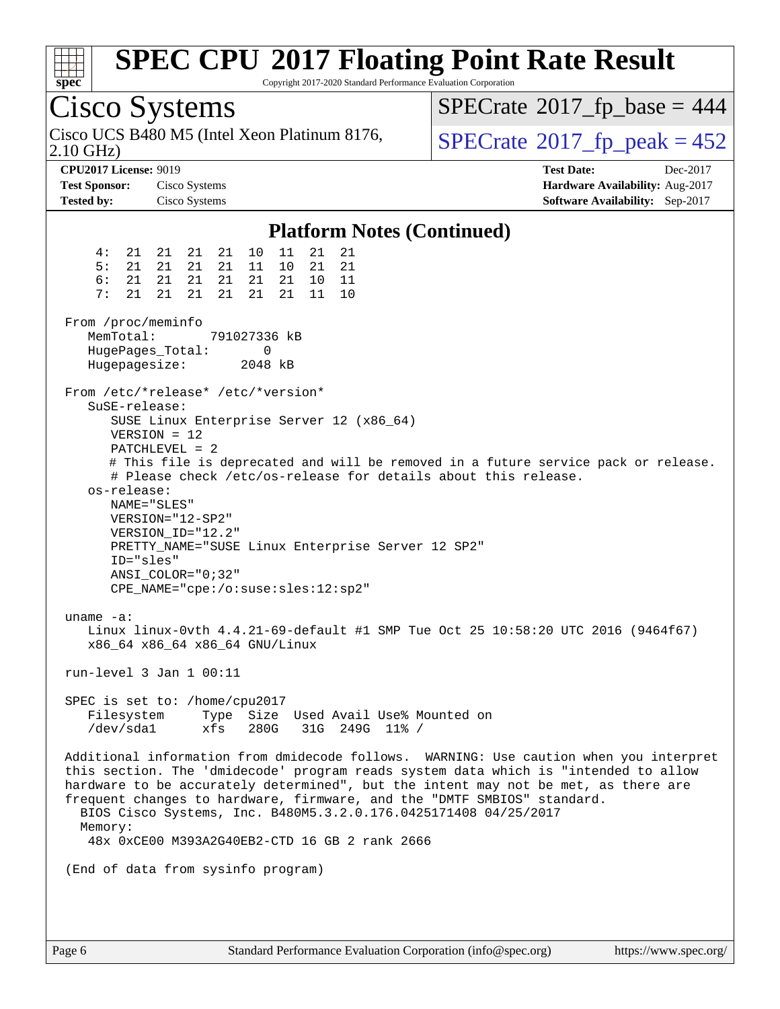| S | 1<br>U | æ | Ľ |  |
|---|--------|---|---|--|

Copyright 2017-2020 Standard Performance Evaluation Corporation

Cisco Systems 2.10 GHz) Cisco UCS B480 M5 (Intel Xeon Platinum 8176,  $\vert$ [SPECrate](http://www.spec.org/auto/cpu2017/Docs/result-fields.html#SPECrate2017fppeak)®[2017\\_fp\\_peak = 4](http://www.spec.org/auto/cpu2017/Docs/result-fields.html#SPECrate2017fppeak)52  $SPECTate$ <sup>®</sup>[2017\\_fp\\_base =](http://www.spec.org/auto/cpu2017/Docs/result-fields.html#SPECrate2017fpbase) 444 **[CPU2017 License:](http://www.spec.org/auto/cpu2017/Docs/result-fields.html#CPU2017License)** 9019 **[Test Date:](http://www.spec.org/auto/cpu2017/Docs/result-fields.html#TestDate)** Dec-2017 **[Test Sponsor:](http://www.spec.org/auto/cpu2017/Docs/result-fields.html#TestSponsor)** Cisco Systems **[Hardware Availability:](http://www.spec.org/auto/cpu2017/Docs/result-fields.html#HardwareAvailability)** Aug-2017 **[Tested by:](http://www.spec.org/auto/cpu2017/Docs/result-fields.html#Testedby)** Cisco Systems **[Software Availability:](http://www.spec.org/auto/cpu2017/Docs/result-fields.html#SoftwareAvailability)** Sep-2017 **[Platform Notes \(Continued\)](http://www.spec.org/auto/cpu2017/Docs/result-fields.html#PlatformNotes)** 4: 21 21 21 21 10 11 21 21 5: 21 21 21 21 11 10 21 21 6: 21 21 21 21 21 21 10 11 7: 21 21 21 21 21 21 11 10 From /proc/meminfo MemTotal: 791027336 kB HugePages\_Total: 0 Hugepagesize: 2048 kB From /etc/\*release\* /etc/\*version\* SuSE-release: SUSE Linux Enterprise Server 12 (x86\_64) VERSION = 12 PATCHLEVEL = 2 # This file is deprecated and will be removed in a future service pack or release. # Please check /etc/os-release for details about this release. os-release: NAME="SLES" VERSION="12-SP2" VERSION\_ID="12.2" PRETTY\_NAME="SUSE Linux Enterprise Server 12 SP2" ID="sles" ANSI\_COLOR="0;32" CPE\_NAME="cpe:/o:suse:sles:12:sp2" uname -a: Linux linux-0vth 4.4.21-69-default #1 SMP Tue Oct 25 10:58:20 UTC 2016 (9464f67) x86\_64 x86\_64 x86\_64 GNU/Linux run-level 3 Jan 1 00:11 SPEC is set to: /home/cpu2017 Filesystem Type Size Used Avail Use% Mounted on /dev/sda1 xfs 280G 31G 249G 11% / Additional information from dmidecode follows. WARNING: Use caution when you interpret this section. The 'dmidecode' program reads system data which is "intended to allow hardware to be accurately determined", but the intent may not be met, as there are frequent changes to hardware, firmware, and the "DMTF SMBIOS" standard. BIOS Cisco Systems, Inc. B480M5.3.2.0.176.0425171408 04/25/2017 Memory: 48x 0xCE00 M393A2G40EB2-CTD 16 GB 2 rank 2666 (End of data from sysinfo program)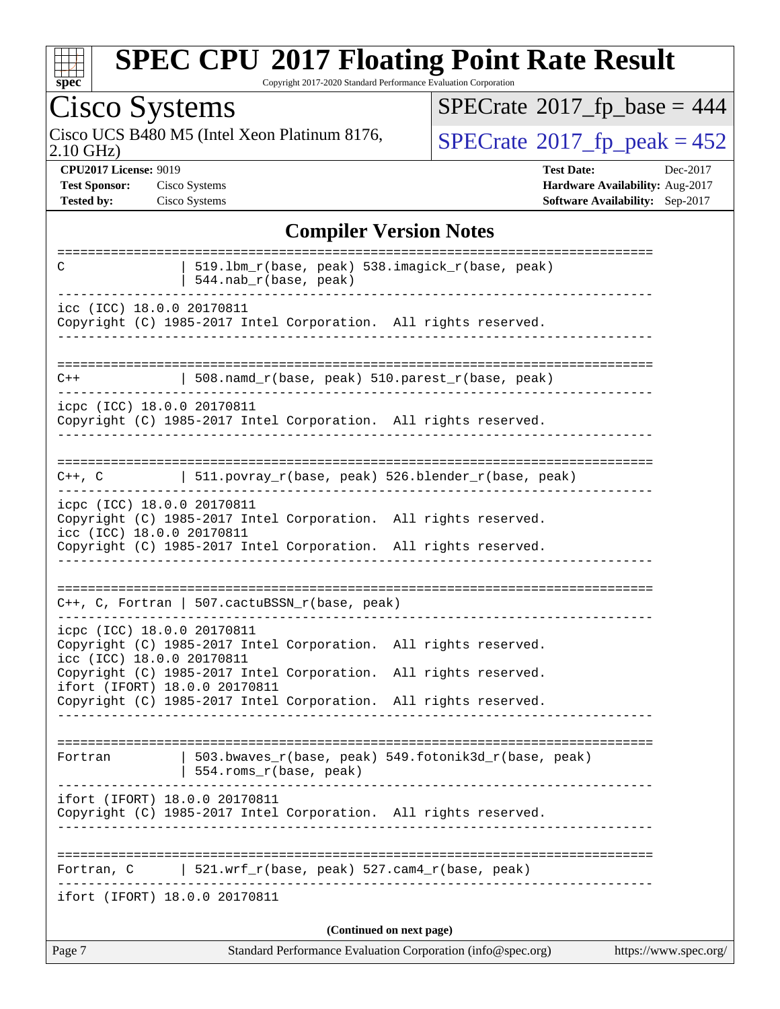| S) | L | c | L. |  |
|----|---|---|----|--|

Copyright 2017-2020 Standard Performance Evaluation Corporation

# Cisco Systems<br>Cisco UCS B480 M5 (Intel Xeon Platinum 8176,

 $SPECrate$ <sup>®</sup>[2017\\_fp\\_base =](http://www.spec.org/auto/cpu2017/Docs/result-fields.html#SPECrate2017fpbase) 444

2.10 GHz)

 $SPECTate$ <sup>®</sup>[2017\\_fp\\_peak = 4](http://www.spec.org/auto/cpu2017/Docs/result-fields.html#SPECrate2017fppeak)52

**[CPU2017 License:](http://www.spec.org/auto/cpu2017/Docs/result-fields.html#CPU2017License)** 9019 **[Test Date:](http://www.spec.org/auto/cpu2017/Docs/result-fields.html#TestDate)** Dec-2017 **[Test Sponsor:](http://www.spec.org/auto/cpu2017/Docs/result-fields.html#TestSponsor)** Cisco Systems **[Hardware Availability:](http://www.spec.org/auto/cpu2017/Docs/result-fields.html#HardwareAvailability)** Aug-2017 **[Tested by:](http://www.spec.org/auto/cpu2017/Docs/result-fields.html#Testedby)** Cisco Systems **[Software Availability:](http://www.spec.org/auto/cpu2017/Docs/result-fields.html#SoftwareAvailability)** Sep-2017

#### **[Compiler Version Notes](http://www.spec.org/auto/cpu2017/Docs/result-fields.html#CompilerVersionNotes)**

| 519.1bm_r(base, peak) 538.imagick_r(base, peak)<br>C<br>544.nab_r(base, peak)                                                                                                                 |  |
|-----------------------------------------------------------------------------------------------------------------------------------------------------------------------------------------------|--|
| icc (ICC) 18.0.0 20170811<br>Copyright (C) 1985-2017 Intel Corporation. All rights reserved.                                                                                                  |  |
| 508.namd_r(base, peak) 510.parest_r(base, peak)<br>$C++$                                                                                                                                      |  |
| icpc (ICC) 18.0.0 20170811<br>Copyright (C) 1985-2017 Intel Corporation. All rights reserved.                                                                                                 |  |
| C++, C $ 511.povray_r(base, peak) 526.blender_r(base, peak)$<br>__________________________                                                                                                    |  |
| icpc (ICC) 18.0.0 20170811<br>Copyright (C) 1985-2017 Intel Corporation. All rights reserved.<br>icc (ICC) 18.0.0 20170811<br>Copyright (C) 1985-2017 Intel Corporation. All rights reserved. |  |
| $C++$ , C, Fortran   507.cactuBSSN_r(base, peak)                                                                                                                                              |  |
| icpc (ICC) 18.0.0 20170811<br>Copyright (C) 1985-2017 Intel Corporation. All rights reserved.<br>icc (ICC) 18.0.0 20170811<br>Copyright (C) 1985-2017 Intel Corporation. All rights reserved. |  |
| ifort (IFORT) 18.0.0 20170811<br>Copyright (C) 1985-2017 Intel Corporation. All rights reserved.                                                                                              |  |
| 503.bwaves_r(base, peak) 549.fotonik3d_r(base, peak)<br>Fortran<br>554.roms_r(base, peak)                                                                                                     |  |
| ifort (IFORT) 18.0.0 20170811<br>Copyright (C) 1985-2017 Intel Corporation. All rights reserved.                                                                                              |  |
| 521.wrf_r(base, peak) 527.cam4_r(base, peak)<br>Fortran, C                                                                                                                                    |  |
| ifort (IFORT) 18.0.0 20170811<br>(Continued on next page)                                                                                                                                     |  |
| Standard Performance Evaluation Corporation (info@spec.org)<br>https://www.spec.org/<br>Page 7                                                                                                |  |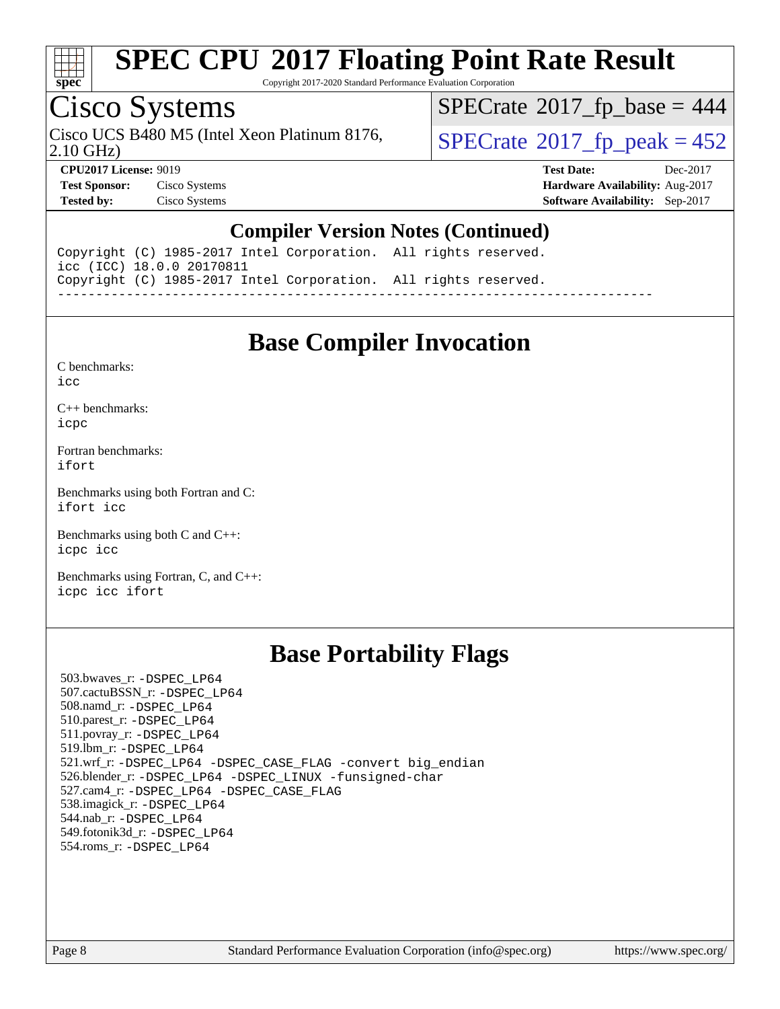

Copyright 2017-2020 Standard Performance Evaluation Corporation

### Cisco Systems

Cisco UCS B480 M5 (Intel Xeon Platinum 8176,  $\vert$ [SPECrate](http://www.spec.org/auto/cpu2017/Docs/result-fields.html#SPECrate2017fppeak)®[2017\\_fp\\_peak = 4](http://www.spec.org/auto/cpu2017/Docs/result-fields.html#SPECrate2017fppeak)52

 $SPECrate$ <sup>®</sup>[2017\\_fp\\_base =](http://www.spec.org/auto/cpu2017/Docs/result-fields.html#SPECrate2017fpbase) 444

2.10 GHz)

**[CPU2017 License:](http://www.spec.org/auto/cpu2017/Docs/result-fields.html#CPU2017License)** 9019 **[Test Date:](http://www.spec.org/auto/cpu2017/Docs/result-fields.html#TestDate)** Dec-2017 **[Test Sponsor:](http://www.spec.org/auto/cpu2017/Docs/result-fields.html#TestSponsor)** Cisco Systems **[Hardware Availability:](http://www.spec.org/auto/cpu2017/Docs/result-fields.html#HardwareAvailability)** Aug-2017 **[Tested by:](http://www.spec.org/auto/cpu2017/Docs/result-fields.html#Testedby)** Cisco Systems **[Software Availability:](http://www.spec.org/auto/cpu2017/Docs/result-fields.html#SoftwareAvailability)** Sep-2017

#### **[Compiler Version Notes \(Continued\)](http://www.spec.org/auto/cpu2017/Docs/result-fields.html#CompilerVersionNotes)**

Copyright (C) 1985-2017 Intel Corporation. All rights reserved. icc (ICC) 18.0.0 20170811 Copyright (C) 1985-2017 Intel Corporation. All rights reserved. ------------------------------------------------------------------------------

### **[Base Compiler Invocation](http://www.spec.org/auto/cpu2017/Docs/result-fields.html#BaseCompilerInvocation)**

[C benchmarks](http://www.spec.org/auto/cpu2017/Docs/result-fields.html#Cbenchmarks):

[icc](http://www.spec.org/cpu2017/results/res2018q1/cpu2017-20171225-02161.flags.html#user_CCbase_intel_icc_18.0_66fc1ee009f7361af1fbd72ca7dcefbb700085f36577c54f309893dd4ec40d12360134090235512931783d35fd58c0460139e722d5067c5574d8eaf2b3e37e92)

[C++ benchmarks:](http://www.spec.org/auto/cpu2017/Docs/result-fields.html#CXXbenchmarks) [icpc](http://www.spec.org/cpu2017/results/res2018q1/cpu2017-20171225-02161.flags.html#user_CXXbase_intel_icpc_18.0_c510b6838c7f56d33e37e94d029a35b4a7bccf4766a728ee175e80a419847e808290a9b78be685c44ab727ea267ec2f070ec5dc83b407c0218cded6866a35d07)

[Fortran benchmarks](http://www.spec.org/auto/cpu2017/Docs/result-fields.html#Fortranbenchmarks): [ifort](http://www.spec.org/cpu2017/results/res2018q1/cpu2017-20171225-02161.flags.html#user_FCbase_intel_ifort_18.0_8111460550e3ca792625aed983ce982f94888b8b503583aa7ba2b8303487b4d8a21a13e7191a45c5fd58ff318f48f9492884d4413fa793fd88dd292cad7027ca)

[Benchmarks using both Fortran and C](http://www.spec.org/auto/cpu2017/Docs/result-fields.html#BenchmarksusingbothFortranandC): [ifort](http://www.spec.org/cpu2017/results/res2018q1/cpu2017-20171225-02161.flags.html#user_CC_FCbase_intel_ifort_18.0_8111460550e3ca792625aed983ce982f94888b8b503583aa7ba2b8303487b4d8a21a13e7191a45c5fd58ff318f48f9492884d4413fa793fd88dd292cad7027ca) [icc](http://www.spec.org/cpu2017/results/res2018q1/cpu2017-20171225-02161.flags.html#user_CC_FCbase_intel_icc_18.0_66fc1ee009f7361af1fbd72ca7dcefbb700085f36577c54f309893dd4ec40d12360134090235512931783d35fd58c0460139e722d5067c5574d8eaf2b3e37e92)

[Benchmarks using both C and C++](http://www.spec.org/auto/cpu2017/Docs/result-fields.html#BenchmarksusingbothCandCXX): [icpc](http://www.spec.org/cpu2017/results/res2018q1/cpu2017-20171225-02161.flags.html#user_CC_CXXbase_intel_icpc_18.0_c510b6838c7f56d33e37e94d029a35b4a7bccf4766a728ee175e80a419847e808290a9b78be685c44ab727ea267ec2f070ec5dc83b407c0218cded6866a35d07) [icc](http://www.spec.org/cpu2017/results/res2018q1/cpu2017-20171225-02161.flags.html#user_CC_CXXbase_intel_icc_18.0_66fc1ee009f7361af1fbd72ca7dcefbb700085f36577c54f309893dd4ec40d12360134090235512931783d35fd58c0460139e722d5067c5574d8eaf2b3e37e92)

[Benchmarks using Fortran, C, and C++:](http://www.spec.org/auto/cpu2017/Docs/result-fields.html#BenchmarksusingFortranCandCXX) [icpc](http://www.spec.org/cpu2017/results/res2018q1/cpu2017-20171225-02161.flags.html#user_CC_CXX_FCbase_intel_icpc_18.0_c510b6838c7f56d33e37e94d029a35b4a7bccf4766a728ee175e80a419847e808290a9b78be685c44ab727ea267ec2f070ec5dc83b407c0218cded6866a35d07) [icc](http://www.spec.org/cpu2017/results/res2018q1/cpu2017-20171225-02161.flags.html#user_CC_CXX_FCbase_intel_icc_18.0_66fc1ee009f7361af1fbd72ca7dcefbb700085f36577c54f309893dd4ec40d12360134090235512931783d35fd58c0460139e722d5067c5574d8eaf2b3e37e92) [ifort](http://www.spec.org/cpu2017/results/res2018q1/cpu2017-20171225-02161.flags.html#user_CC_CXX_FCbase_intel_ifort_18.0_8111460550e3ca792625aed983ce982f94888b8b503583aa7ba2b8303487b4d8a21a13e7191a45c5fd58ff318f48f9492884d4413fa793fd88dd292cad7027ca)

### **[Base Portability Flags](http://www.spec.org/auto/cpu2017/Docs/result-fields.html#BasePortabilityFlags)**

 503.bwaves\_r: [-DSPEC\\_LP64](http://www.spec.org/cpu2017/results/res2018q1/cpu2017-20171225-02161.flags.html#suite_basePORTABILITY503_bwaves_r_DSPEC_LP64) 507.cactuBSSN\_r: [-DSPEC\\_LP64](http://www.spec.org/cpu2017/results/res2018q1/cpu2017-20171225-02161.flags.html#suite_basePORTABILITY507_cactuBSSN_r_DSPEC_LP64) 508.namd\_r: [-DSPEC\\_LP64](http://www.spec.org/cpu2017/results/res2018q1/cpu2017-20171225-02161.flags.html#suite_basePORTABILITY508_namd_r_DSPEC_LP64) 510.parest\_r: [-DSPEC\\_LP64](http://www.spec.org/cpu2017/results/res2018q1/cpu2017-20171225-02161.flags.html#suite_basePORTABILITY510_parest_r_DSPEC_LP64) 511.povray\_r: [-DSPEC\\_LP64](http://www.spec.org/cpu2017/results/res2018q1/cpu2017-20171225-02161.flags.html#suite_basePORTABILITY511_povray_r_DSPEC_LP64) 519.lbm\_r: [-DSPEC\\_LP64](http://www.spec.org/cpu2017/results/res2018q1/cpu2017-20171225-02161.flags.html#suite_basePORTABILITY519_lbm_r_DSPEC_LP64) 521.wrf\_r: [-DSPEC\\_LP64](http://www.spec.org/cpu2017/results/res2018q1/cpu2017-20171225-02161.flags.html#suite_basePORTABILITY521_wrf_r_DSPEC_LP64) [-DSPEC\\_CASE\\_FLAG](http://www.spec.org/cpu2017/results/res2018q1/cpu2017-20171225-02161.flags.html#b521.wrf_r_baseCPORTABILITY_DSPEC_CASE_FLAG) [-convert big\\_endian](http://www.spec.org/cpu2017/results/res2018q1/cpu2017-20171225-02161.flags.html#user_baseFPORTABILITY521_wrf_r_convert_big_endian_c3194028bc08c63ac5d04de18c48ce6d347e4e562e8892b8bdbdc0214820426deb8554edfa529a3fb25a586e65a3d812c835984020483e7e73212c4d31a38223) 526.blender\_r: [-DSPEC\\_LP64](http://www.spec.org/cpu2017/results/res2018q1/cpu2017-20171225-02161.flags.html#suite_basePORTABILITY526_blender_r_DSPEC_LP64) [-DSPEC\\_LINUX](http://www.spec.org/cpu2017/results/res2018q1/cpu2017-20171225-02161.flags.html#b526.blender_r_baseCPORTABILITY_DSPEC_LINUX) [-funsigned-char](http://www.spec.org/cpu2017/results/res2018q1/cpu2017-20171225-02161.flags.html#user_baseCPORTABILITY526_blender_r_force_uchar_40c60f00ab013830e2dd6774aeded3ff59883ba5a1fc5fc14077f794d777847726e2a5858cbc7672e36e1b067e7e5c1d9a74f7176df07886a243d7cc18edfe67) 527.cam4\_r: [-DSPEC\\_LP64](http://www.spec.org/cpu2017/results/res2018q1/cpu2017-20171225-02161.flags.html#suite_basePORTABILITY527_cam4_r_DSPEC_LP64) [-DSPEC\\_CASE\\_FLAG](http://www.spec.org/cpu2017/results/res2018q1/cpu2017-20171225-02161.flags.html#b527.cam4_r_baseCPORTABILITY_DSPEC_CASE_FLAG) 538.imagick\_r: [-DSPEC\\_LP64](http://www.spec.org/cpu2017/results/res2018q1/cpu2017-20171225-02161.flags.html#suite_basePORTABILITY538_imagick_r_DSPEC_LP64) 544.nab\_r: [-DSPEC\\_LP64](http://www.spec.org/cpu2017/results/res2018q1/cpu2017-20171225-02161.flags.html#suite_basePORTABILITY544_nab_r_DSPEC_LP64) 549.fotonik3d\_r: [-DSPEC\\_LP64](http://www.spec.org/cpu2017/results/res2018q1/cpu2017-20171225-02161.flags.html#suite_basePORTABILITY549_fotonik3d_r_DSPEC_LP64) 554.roms\_r: [-DSPEC\\_LP64](http://www.spec.org/cpu2017/results/res2018q1/cpu2017-20171225-02161.flags.html#suite_basePORTABILITY554_roms_r_DSPEC_LP64)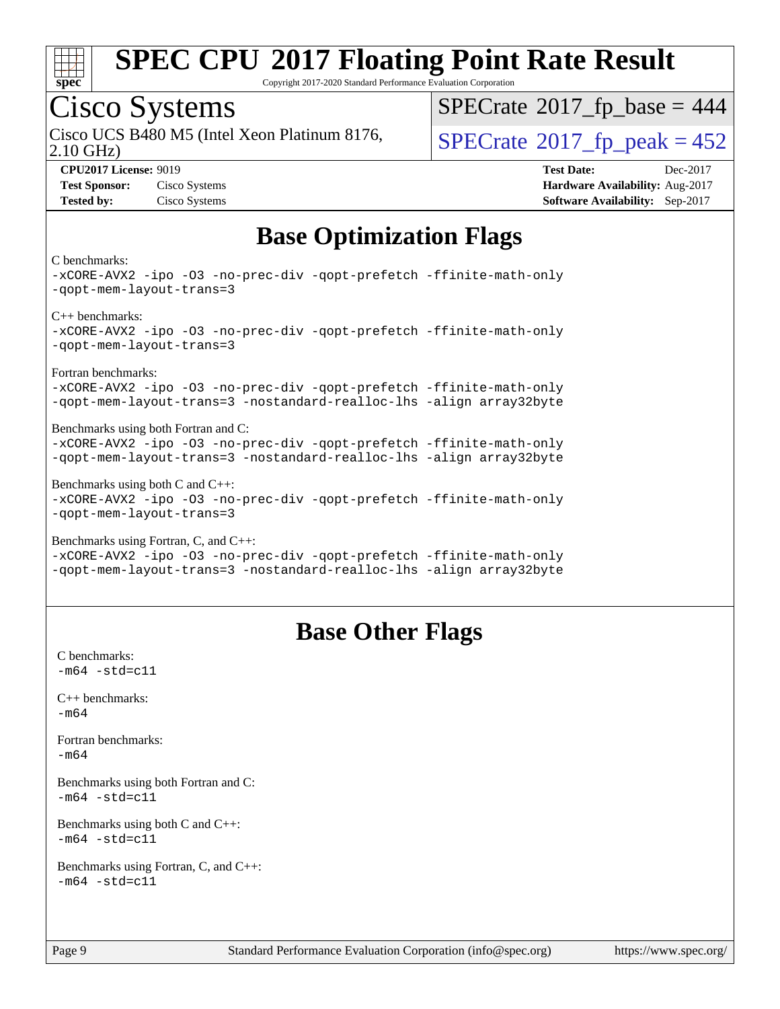

Copyright 2017-2020 Standard Performance Evaluation Corporation

### Cisco Systems

2.10 GHz) Cisco UCS B480 M5 (Intel Xeon Platinum 8176,  $\vert$ [SPECrate](http://www.spec.org/auto/cpu2017/Docs/result-fields.html#SPECrate2017fppeak)®[2017\\_fp\\_peak = 4](http://www.spec.org/auto/cpu2017/Docs/result-fields.html#SPECrate2017fppeak)52

 $SPECTate$ <sup>®</sup>[2017\\_fp\\_base =](http://www.spec.org/auto/cpu2017/Docs/result-fields.html#SPECrate2017fpbase) 444

**[CPU2017 License:](http://www.spec.org/auto/cpu2017/Docs/result-fields.html#CPU2017License)** 9019 **[Test Date:](http://www.spec.org/auto/cpu2017/Docs/result-fields.html#TestDate)** Dec-2017 **[Test Sponsor:](http://www.spec.org/auto/cpu2017/Docs/result-fields.html#TestSponsor)** Cisco Systems **[Hardware Availability:](http://www.spec.org/auto/cpu2017/Docs/result-fields.html#HardwareAvailability)** Aug-2017 **[Tested by:](http://www.spec.org/auto/cpu2017/Docs/result-fields.html#Testedby)** Cisco Systems **[Software Availability:](http://www.spec.org/auto/cpu2017/Docs/result-fields.html#SoftwareAvailability)** Sep-2017

### **[Base Optimization Flags](http://www.spec.org/auto/cpu2017/Docs/result-fields.html#BaseOptimizationFlags)**

#### [C benchmarks:](http://www.spec.org/auto/cpu2017/Docs/result-fields.html#Cbenchmarks)

[-xCORE-AVX2](http://www.spec.org/cpu2017/results/res2018q1/cpu2017-20171225-02161.flags.html#user_CCbase_f-xCORE-AVX2) [-ipo](http://www.spec.org/cpu2017/results/res2018q1/cpu2017-20171225-02161.flags.html#user_CCbase_f-ipo) [-O3](http://www.spec.org/cpu2017/results/res2018q1/cpu2017-20171225-02161.flags.html#user_CCbase_f-O3) [-no-prec-div](http://www.spec.org/cpu2017/results/res2018q1/cpu2017-20171225-02161.flags.html#user_CCbase_f-no-prec-div) [-qopt-prefetch](http://www.spec.org/cpu2017/results/res2018q1/cpu2017-20171225-02161.flags.html#user_CCbase_f-qopt-prefetch) [-ffinite-math-only](http://www.spec.org/cpu2017/results/res2018q1/cpu2017-20171225-02161.flags.html#user_CCbase_f_finite_math_only_cb91587bd2077682c4b38af759c288ed7c732db004271a9512da14a4f8007909a5f1427ecbf1a0fb78ff2a814402c6114ac565ca162485bbcae155b5e4258871) [-qopt-mem-layout-trans=3](http://www.spec.org/cpu2017/results/res2018q1/cpu2017-20171225-02161.flags.html#user_CCbase_f-qopt-mem-layout-trans_de80db37974c74b1f0e20d883f0b675c88c3b01e9d123adea9b28688d64333345fb62bc4a798493513fdb68f60282f9a726aa07f478b2f7113531aecce732043) [C++ benchmarks](http://www.spec.org/auto/cpu2017/Docs/result-fields.html#CXXbenchmarks): [-xCORE-AVX2](http://www.spec.org/cpu2017/results/res2018q1/cpu2017-20171225-02161.flags.html#user_CXXbase_f-xCORE-AVX2) [-ipo](http://www.spec.org/cpu2017/results/res2018q1/cpu2017-20171225-02161.flags.html#user_CXXbase_f-ipo) [-O3](http://www.spec.org/cpu2017/results/res2018q1/cpu2017-20171225-02161.flags.html#user_CXXbase_f-O3) [-no-prec-div](http://www.spec.org/cpu2017/results/res2018q1/cpu2017-20171225-02161.flags.html#user_CXXbase_f-no-prec-div) [-qopt-prefetch](http://www.spec.org/cpu2017/results/res2018q1/cpu2017-20171225-02161.flags.html#user_CXXbase_f-qopt-prefetch) [-ffinite-math-only](http://www.spec.org/cpu2017/results/res2018q1/cpu2017-20171225-02161.flags.html#user_CXXbase_f_finite_math_only_cb91587bd2077682c4b38af759c288ed7c732db004271a9512da14a4f8007909a5f1427ecbf1a0fb78ff2a814402c6114ac565ca162485bbcae155b5e4258871) [-qopt-mem-layout-trans=3](http://www.spec.org/cpu2017/results/res2018q1/cpu2017-20171225-02161.flags.html#user_CXXbase_f-qopt-mem-layout-trans_de80db37974c74b1f0e20d883f0b675c88c3b01e9d123adea9b28688d64333345fb62bc4a798493513fdb68f60282f9a726aa07f478b2f7113531aecce732043) [Fortran benchmarks:](http://www.spec.org/auto/cpu2017/Docs/result-fields.html#Fortranbenchmarks) [-xCORE-AVX2](http://www.spec.org/cpu2017/results/res2018q1/cpu2017-20171225-02161.flags.html#user_FCbase_f-xCORE-AVX2) [-ipo](http://www.spec.org/cpu2017/results/res2018q1/cpu2017-20171225-02161.flags.html#user_FCbase_f-ipo) [-O3](http://www.spec.org/cpu2017/results/res2018q1/cpu2017-20171225-02161.flags.html#user_FCbase_f-O3) [-no-prec-div](http://www.spec.org/cpu2017/results/res2018q1/cpu2017-20171225-02161.flags.html#user_FCbase_f-no-prec-div) [-qopt-prefetch](http://www.spec.org/cpu2017/results/res2018q1/cpu2017-20171225-02161.flags.html#user_FCbase_f-qopt-prefetch) [-ffinite-math-only](http://www.spec.org/cpu2017/results/res2018q1/cpu2017-20171225-02161.flags.html#user_FCbase_f_finite_math_only_cb91587bd2077682c4b38af759c288ed7c732db004271a9512da14a4f8007909a5f1427ecbf1a0fb78ff2a814402c6114ac565ca162485bbcae155b5e4258871) [-qopt-mem-layout-trans=3](http://www.spec.org/cpu2017/results/res2018q1/cpu2017-20171225-02161.flags.html#user_FCbase_f-qopt-mem-layout-trans_de80db37974c74b1f0e20d883f0b675c88c3b01e9d123adea9b28688d64333345fb62bc4a798493513fdb68f60282f9a726aa07f478b2f7113531aecce732043) [-nostandard-realloc-lhs](http://www.spec.org/cpu2017/results/res2018q1/cpu2017-20171225-02161.flags.html#user_FCbase_f_2003_std_realloc_82b4557e90729c0f113870c07e44d33d6f5a304b4f63d4c15d2d0f1fab99f5daaed73bdb9275d9ae411527f28b936061aa8b9c8f2d63842963b95c9dd6426b8a) [-align array32byte](http://www.spec.org/cpu2017/results/res2018q1/cpu2017-20171225-02161.flags.html#user_FCbase_align_array32byte_b982fe038af199962ba9a80c053b8342c548c85b40b8e86eb3cc33dee0d7986a4af373ac2d51c3f7cf710a18d62fdce2948f201cd044323541f22fc0fffc51b6) [Benchmarks using both Fortran and C:](http://www.spec.org/auto/cpu2017/Docs/result-fields.html#BenchmarksusingbothFortranandC) [-xCORE-AVX2](http://www.spec.org/cpu2017/results/res2018q1/cpu2017-20171225-02161.flags.html#user_CC_FCbase_f-xCORE-AVX2) [-ipo](http://www.spec.org/cpu2017/results/res2018q1/cpu2017-20171225-02161.flags.html#user_CC_FCbase_f-ipo) [-O3](http://www.spec.org/cpu2017/results/res2018q1/cpu2017-20171225-02161.flags.html#user_CC_FCbase_f-O3) [-no-prec-div](http://www.spec.org/cpu2017/results/res2018q1/cpu2017-20171225-02161.flags.html#user_CC_FCbase_f-no-prec-div) [-qopt-prefetch](http://www.spec.org/cpu2017/results/res2018q1/cpu2017-20171225-02161.flags.html#user_CC_FCbase_f-qopt-prefetch) [-ffinite-math-only](http://www.spec.org/cpu2017/results/res2018q1/cpu2017-20171225-02161.flags.html#user_CC_FCbase_f_finite_math_only_cb91587bd2077682c4b38af759c288ed7c732db004271a9512da14a4f8007909a5f1427ecbf1a0fb78ff2a814402c6114ac565ca162485bbcae155b5e4258871) [-qopt-mem-layout-trans=3](http://www.spec.org/cpu2017/results/res2018q1/cpu2017-20171225-02161.flags.html#user_CC_FCbase_f-qopt-mem-layout-trans_de80db37974c74b1f0e20d883f0b675c88c3b01e9d123adea9b28688d64333345fb62bc4a798493513fdb68f60282f9a726aa07f478b2f7113531aecce732043) [-nostandard-realloc-lhs](http://www.spec.org/cpu2017/results/res2018q1/cpu2017-20171225-02161.flags.html#user_CC_FCbase_f_2003_std_realloc_82b4557e90729c0f113870c07e44d33d6f5a304b4f63d4c15d2d0f1fab99f5daaed73bdb9275d9ae411527f28b936061aa8b9c8f2d63842963b95c9dd6426b8a) [-align array32byte](http://www.spec.org/cpu2017/results/res2018q1/cpu2017-20171225-02161.flags.html#user_CC_FCbase_align_array32byte_b982fe038af199962ba9a80c053b8342c548c85b40b8e86eb3cc33dee0d7986a4af373ac2d51c3f7cf710a18d62fdce2948f201cd044323541f22fc0fffc51b6) [Benchmarks using both C and C++](http://www.spec.org/auto/cpu2017/Docs/result-fields.html#BenchmarksusingbothCandCXX): [-xCORE-AVX2](http://www.spec.org/cpu2017/results/res2018q1/cpu2017-20171225-02161.flags.html#user_CC_CXXbase_f-xCORE-AVX2) [-ipo](http://www.spec.org/cpu2017/results/res2018q1/cpu2017-20171225-02161.flags.html#user_CC_CXXbase_f-ipo) [-O3](http://www.spec.org/cpu2017/results/res2018q1/cpu2017-20171225-02161.flags.html#user_CC_CXXbase_f-O3) [-no-prec-div](http://www.spec.org/cpu2017/results/res2018q1/cpu2017-20171225-02161.flags.html#user_CC_CXXbase_f-no-prec-div) [-qopt-prefetch](http://www.spec.org/cpu2017/results/res2018q1/cpu2017-20171225-02161.flags.html#user_CC_CXXbase_f-qopt-prefetch) [-ffinite-math-only](http://www.spec.org/cpu2017/results/res2018q1/cpu2017-20171225-02161.flags.html#user_CC_CXXbase_f_finite_math_only_cb91587bd2077682c4b38af759c288ed7c732db004271a9512da14a4f8007909a5f1427ecbf1a0fb78ff2a814402c6114ac565ca162485bbcae155b5e4258871) [-qopt-mem-layout-trans=3](http://www.spec.org/cpu2017/results/res2018q1/cpu2017-20171225-02161.flags.html#user_CC_CXXbase_f-qopt-mem-layout-trans_de80db37974c74b1f0e20d883f0b675c88c3b01e9d123adea9b28688d64333345fb62bc4a798493513fdb68f60282f9a726aa07f478b2f7113531aecce732043) [Benchmarks using Fortran, C, and C++](http://www.spec.org/auto/cpu2017/Docs/result-fields.html#BenchmarksusingFortranCandCXX): [-xCORE-AVX2](http://www.spec.org/cpu2017/results/res2018q1/cpu2017-20171225-02161.flags.html#user_CC_CXX_FCbase_f-xCORE-AVX2) [-ipo](http://www.spec.org/cpu2017/results/res2018q1/cpu2017-20171225-02161.flags.html#user_CC_CXX_FCbase_f-ipo) [-O3](http://www.spec.org/cpu2017/results/res2018q1/cpu2017-20171225-02161.flags.html#user_CC_CXX_FCbase_f-O3) [-no-prec-div](http://www.spec.org/cpu2017/results/res2018q1/cpu2017-20171225-02161.flags.html#user_CC_CXX_FCbase_f-no-prec-div) [-qopt-prefetch](http://www.spec.org/cpu2017/results/res2018q1/cpu2017-20171225-02161.flags.html#user_CC_CXX_FCbase_f-qopt-prefetch) [-ffinite-math-only](http://www.spec.org/cpu2017/results/res2018q1/cpu2017-20171225-02161.flags.html#user_CC_CXX_FCbase_f_finite_math_only_cb91587bd2077682c4b38af759c288ed7c732db004271a9512da14a4f8007909a5f1427ecbf1a0fb78ff2a814402c6114ac565ca162485bbcae155b5e4258871)

[-qopt-mem-layout-trans=3](http://www.spec.org/cpu2017/results/res2018q1/cpu2017-20171225-02161.flags.html#user_CC_CXX_FCbase_f-qopt-mem-layout-trans_de80db37974c74b1f0e20d883f0b675c88c3b01e9d123adea9b28688d64333345fb62bc4a798493513fdb68f60282f9a726aa07f478b2f7113531aecce732043) [-nostandard-realloc-lhs](http://www.spec.org/cpu2017/results/res2018q1/cpu2017-20171225-02161.flags.html#user_CC_CXX_FCbase_f_2003_std_realloc_82b4557e90729c0f113870c07e44d33d6f5a304b4f63d4c15d2d0f1fab99f5daaed73bdb9275d9ae411527f28b936061aa8b9c8f2d63842963b95c9dd6426b8a) [-align array32byte](http://www.spec.org/cpu2017/results/res2018q1/cpu2017-20171225-02161.flags.html#user_CC_CXX_FCbase_align_array32byte_b982fe038af199962ba9a80c053b8342c548c85b40b8e86eb3cc33dee0d7986a4af373ac2d51c3f7cf710a18d62fdce2948f201cd044323541f22fc0fffc51b6)

### **[Base Other Flags](http://www.spec.org/auto/cpu2017/Docs/result-fields.html#BaseOtherFlags)**

[C benchmarks](http://www.spec.org/auto/cpu2017/Docs/result-fields.html#Cbenchmarks):  $-m64 - std = c11$  $-m64 - std = c11$ [C++ benchmarks:](http://www.spec.org/auto/cpu2017/Docs/result-fields.html#CXXbenchmarks) [-m64](http://www.spec.org/cpu2017/results/res2018q1/cpu2017-20171225-02161.flags.html#user_CXXbase_intel_intel64_18.0_af43caccfc8ded86e7699f2159af6efc7655f51387b94da716254467f3c01020a5059329e2569e4053f409e7c9202a7efc638f7a6d1ffb3f52dea4a3e31d82ab) [Fortran benchmarks](http://www.spec.org/auto/cpu2017/Docs/result-fields.html#Fortranbenchmarks): [-m64](http://www.spec.org/cpu2017/results/res2018q1/cpu2017-20171225-02161.flags.html#user_FCbase_intel_intel64_18.0_af43caccfc8ded86e7699f2159af6efc7655f51387b94da716254467f3c01020a5059329e2569e4053f409e7c9202a7efc638f7a6d1ffb3f52dea4a3e31d82ab) [Benchmarks using both Fortran and C](http://www.spec.org/auto/cpu2017/Docs/result-fields.html#BenchmarksusingbothFortranandC):  $-m64$   $-std=cl1$ [Benchmarks using both C and C++](http://www.spec.org/auto/cpu2017/Docs/result-fields.html#BenchmarksusingbothCandCXX):  $-m64 - std= c11$  $-m64 - std= c11$ [Benchmarks using Fortran, C, and C++:](http://www.spec.org/auto/cpu2017/Docs/result-fields.html#BenchmarksusingFortranCandCXX)  $-m64 - std = c11$  $-m64 - std = c11$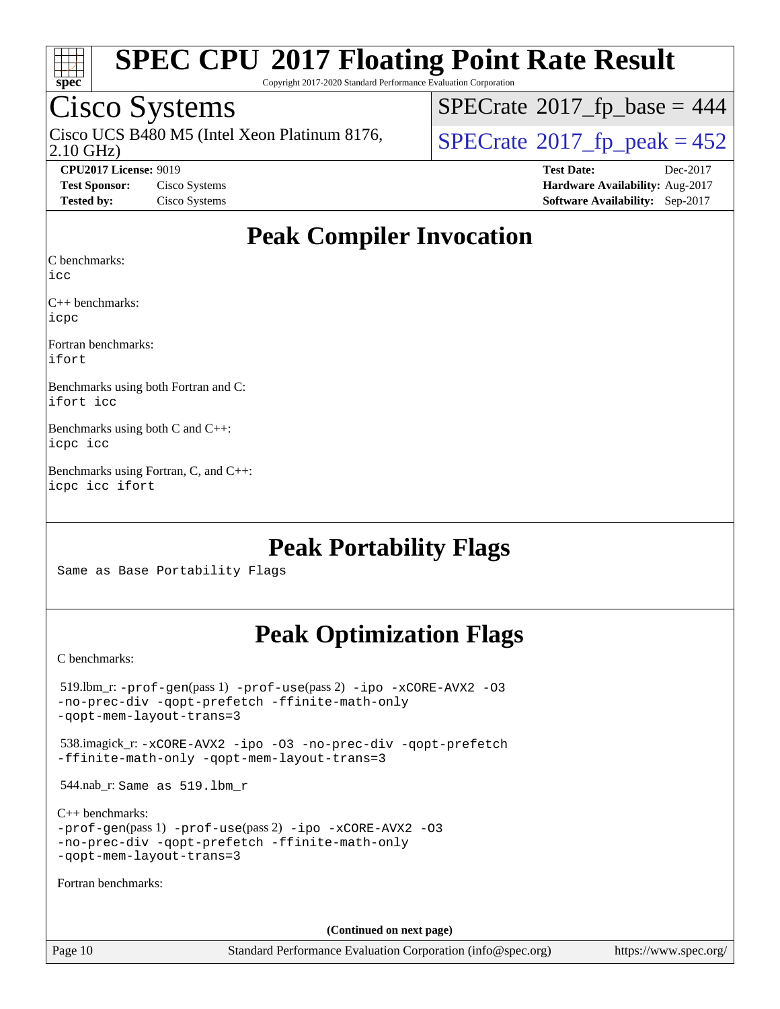

Copyright 2017-2020 Standard Performance Evaluation Corporation

### Cisco Systems

2.10 GHz) Cisco UCS B480 M5 (Intel Xeon Platinum 8176,  $\overline{SPECrate}$  $\overline{SPECrate}$  $\overline{SPECrate}$  2017 fp peak = 452

 $SPECTate$ <sup>®</sup>[2017\\_fp\\_base =](http://www.spec.org/auto/cpu2017/Docs/result-fields.html#SPECrate2017fpbase) 444

**[CPU2017 License:](http://www.spec.org/auto/cpu2017/Docs/result-fields.html#CPU2017License)** 9019 **[Test Date:](http://www.spec.org/auto/cpu2017/Docs/result-fields.html#TestDate)** Dec-2017 **[Test Sponsor:](http://www.spec.org/auto/cpu2017/Docs/result-fields.html#TestSponsor)** Cisco Systems **[Hardware Availability:](http://www.spec.org/auto/cpu2017/Docs/result-fields.html#HardwareAvailability)** Aug-2017 **[Tested by:](http://www.spec.org/auto/cpu2017/Docs/result-fields.html#Testedby)** Cisco Systems **[Software Availability:](http://www.spec.org/auto/cpu2017/Docs/result-fields.html#SoftwareAvailability)** Sep-2017

### **[Peak Compiler Invocation](http://www.spec.org/auto/cpu2017/Docs/result-fields.html#PeakCompilerInvocation)**

[C benchmarks](http://www.spec.org/auto/cpu2017/Docs/result-fields.html#Cbenchmarks):

[icc](http://www.spec.org/cpu2017/results/res2018q1/cpu2017-20171225-02161.flags.html#user_CCpeak_intel_icc_18.0_66fc1ee009f7361af1fbd72ca7dcefbb700085f36577c54f309893dd4ec40d12360134090235512931783d35fd58c0460139e722d5067c5574d8eaf2b3e37e92)

[C++ benchmarks:](http://www.spec.org/auto/cpu2017/Docs/result-fields.html#CXXbenchmarks) [icpc](http://www.spec.org/cpu2017/results/res2018q1/cpu2017-20171225-02161.flags.html#user_CXXpeak_intel_icpc_18.0_c510b6838c7f56d33e37e94d029a35b4a7bccf4766a728ee175e80a419847e808290a9b78be685c44ab727ea267ec2f070ec5dc83b407c0218cded6866a35d07)

[Fortran benchmarks](http://www.spec.org/auto/cpu2017/Docs/result-fields.html#Fortranbenchmarks): [ifort](http://www.spec.org/cpu2017/results/res2018q1/cpu2017-20171225-02161.flags.html#user_FCpeak_intel_ifort_18.0_8111460550e3ca792625aed983ce982f94888b8b503583aa7ba2b8303487b4d8a21a13e7191a45c5fd58ff318f48f9492884d4413fa793fd88dd292cad7027ca)

[Benchmarks using both Fortran and C](http://www.spec.org/auto/cpu2017/Docs/result-fields.html#BenchmarksusingbothFortranandC): [ifort](http://www.spec.org/cpu2017/results/res2018q1/cpu2017-20171225-02161.flags.html#user_CC_FCpeak_intel_ifort_18.0_8111460550e3ca792625aed983ce982f94888b8b503583aa7ba2b8303487b4d8a21a13e7191a45c5fd58ff318f48f9492884d4413fa793fd88dd292cad7027ca) [icc](http://www.spec.org/cpu2017/results/res2018q1/cpu2017-20171225-02161.flags.html#user_CC_FCpeak_intel_icc_18.0_66fc1ee009f7361af1fbd72ca7dcefbb700085f36577c54f309893dd4ec40d12360134090235512931783d35fd58c0460139e722d5067c5574d8eaf2b3e37e92)

[Benchmarks using both C and C++:](http://www.spec.org/auto/cpu2017/Docs/result-fields.html#BenchmarksusingbothCandCXX) [icpc](http://www.spec.org/cpu2017/results/res2018q1/cpu2017-20171225-02161.flags.html#user_CC_CXXpeak_intel_icpc_18.0_c510b6838c7f56d33e37e94d029a35b4a7bccf4766a728ee175e80a419847e808290a9b78be685c44ab727ea267ec2f070ec5dc83b407c0218cded6866a35d07) [icc](http://www.spec.org/cpu2017/results/res2018q1/cpu2017-20171225-02161.flags.html#user_CC_CXXpeak_intel_icc_18.0_66fc1ee009f7361af1fbd72ca7dcefbb700085f36577c54f309893dd4ec40d12360134090235512931783d35fd58c0460139e722d5067c5574d8eaf2b3e37e92)

[Benchmarks using Fortran, C, and C++](http://www.spec.org/auto/cpu2017/Docs/result-fields.html#BenchmarksusingFortranCandCXX): [icpc](http://www.spec.org/cpu2017/results/res2018q1/cpu2017-20171225-02161.flags.html#user_CC_CXX_FCpeak_intel_icpc_18.0_c510b6838c7f56d33e37e94d029a35b4a7bccf4766a728ee175e80a419847e808290a9b78be685c44ab727ea267ec2f070ec5dc83b407c0218cded6866a35d07) [icc](http://www.spec.org/cpu2017/results/res2018q1/cpu2017-20171225-02161.flags.html#user_CC_CXX_FCpeak_intel_icc_18.0_66fc1ee009f7361af1fbd72ca7dcefbb700085f36577c54f309893dd4ec40d12360134090235512931783d35fd58c0460139e722d5067c5574d8eaf2b3e37e92) [ifort](http://www.spec.org/cpu2017/results/res2018q1/cpu2017-20171225-02161.flags.html#user_CC_CXX_FCpeak_intel_ifort_18.0_8111460550e3ca792625aed983ce982f94888b8b503583aa7ba2b8303487b4d8a21a13e7191a45c5fd58ff318f48f9492884d4413fa793fd88dd292cad7027ca)

### **[Peak Portability Flags](http://www.spec.org/auto/cpu2017/Docs/result-fields.html#PeakPortabilityFlags)**

Same as Base Portability Flags

### **[Peak Optimization Flags](http://www.spec.org/auto/cpu2017/Docs/result-fields.html#PeakOptimizationFlags)**

[C benchmarks](http://www.spec.org/auto/cpu2017/Docs/result-fields.html#Cbenchmarks):

| $519.$ lbm_r: -prof-qen(pass 1) -prof-use(pass 2) -ipo -xCORE-AVX2 -03<br>-no-prec-div -qopt-prefetch -ffinite-math-only<br>-gopt-mem-layout-trans=3             |
|------------------------------------------------------------------------------------------------------------------------------------------------------------------|
| 538.imagick_r: -xCORE-AVX2 -ipo -03 -no-prec-div -qopt-prefetch<br>-ffinite-math-only -gopt-mem-layout-trans=3                                                   |
| 544.nab_r: Same as 519.1bm_r                                                                                                                                     |
| $C_{++}$ benchmarks:<br>$-prof-qen(pass 1) -prof-use(pass 2) -ipo -xCORE-AVX2 -O3$<br>-no-prec-div -qopt-prefetch -ffinite-math-only<br>-gopt-mem-layout-trans=3 |
| Fortran benchmarks:                                                                                                                                              |
|                                                                                                                                                                  |
| (Continued on next page)                                                                                                                                         |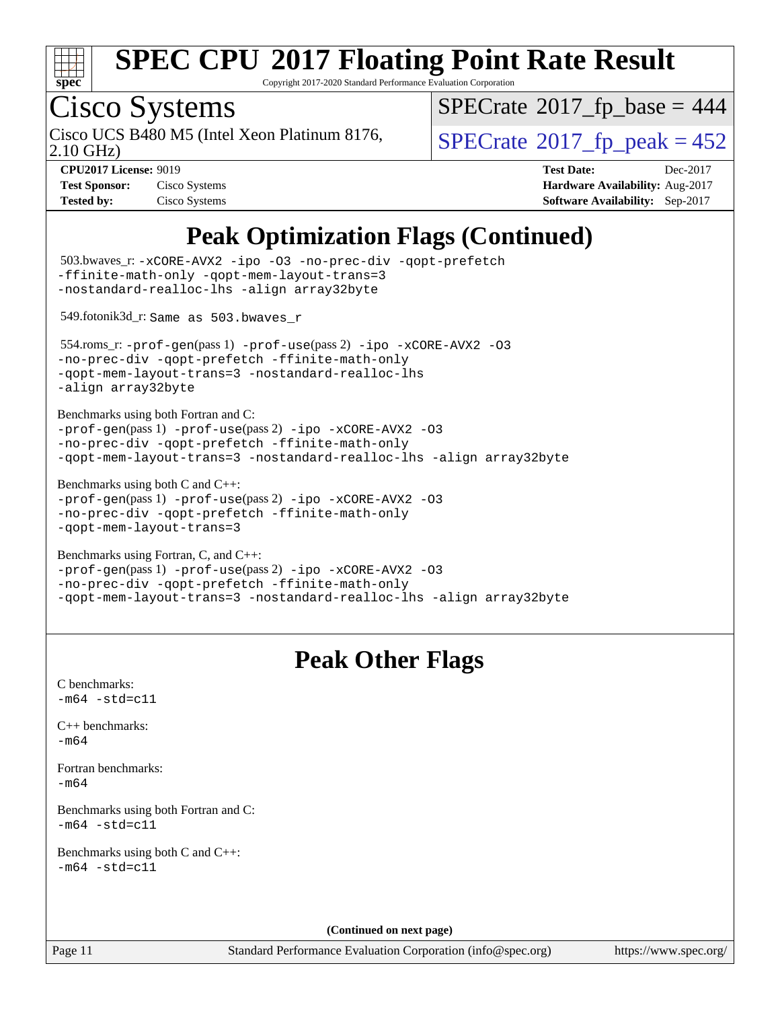

Copyright 2017-2020 Standard Performance Evaluation Corporation

# Cisco Systems

2.10 GHz) Cisco UCS B480 M5 (Intel Xeon Platinum 8176,  $\overline{SPECrate}$  $\overline{SPECrate}$  $\overline{SPECrate}$  2017 fp\_peak = 452

 $SPECrate$ <sup>®</sup>[2017\\_fp\\_base =](http://www.spec.org/auto/cpu2017/Docs/result-fields.html#SPECrate2017fpbase) 444

**[Tested by:](http://www.spec.org/auto/cpu2017/Docs/result-fields.html#Testedby)** Cisco Systems **[Software Availability:](http://www.spec.org/auto/cpu2017/Docs/result-fields.html#SoftwareAvailability)** Sep-2017

**[CPU2017 License:](http://www.spec.org/auto/cpu2017/Docs/result-fields.html#CPU2017License)** 9019 **[Test Date:](http://www.spec.org/auto/cpu2017/Docs/result-fields.html#TestDate)** Dec-2017 **[Test Sponsor:](http://www.spec.org/auto/cpu2017/Docs/result-fields.html#TestSponsor)** Cisco Systems **[Hardware Availability:](http://www.spec.org/auto/cpu2017/Docs/result-fields.html#HardwareAvailability)** Aug-2017

### **[Peak Optimization Flags \(Continued\)](http://www.spec.org/auto/cpu2017/Docs/result-fields.html#PeakOptimizationFlags)**

| 503.bwaves_r: -xCORE-AVX2 -ipo -03 -no-prec-div -qopt-prefetch<br>-ffinite-math-only -qopt-mem-layout-trans=3<br>-nostandard-realloc-lhs -align array32byte                                     |                                                                                         |
|-------------------------------------------------------------------------------------------------------------------------------------------------------------------------------------------------|-----------------------------------------------------------------------------------------|
| 549.fotonik3d_r: Same as 503.bwaves_r                                                                                                                                                           |                                                                                         |
| 554.roms_r:-prof-gen(pass 1) -prof-use(pass 2) -ipo -xCORE-AVX2 -03<br>-no-prec-div -qopt-prefetch -ffinite-math-only<br>-qopt-mem-layout-trans=3 -nostandard-realloc-lhs<br>-align array32byte |                                                                                         |
| Benchmarks using both Fortran and C:<br>-prof-gen(pass 1) -prof-use(pass 2) -ipo -xCORE-AVX2 -03<br>-no-prec-div -qopt-prefetch -ffinite-math-only                                              | -qopt-mem-layout-trans=3 -nostandard-realloc-lhs -align array32byte                     |
| Benchmarks using both $C$ and $C++$ :<br>-prof-gen(pass 1) -prof-use(pass 2) -ipo -xCORE-AVX2 -03<br>-no-prec-div -qopt-prefetch -ffinite-math-only<br>-qopt-mem-layout-trans=3                 |                                                                                         |
| Benchmarks using Fortran, C, and C++:<br>-prof-gen(pass 1) -prof-use(pass 2) -ipo -xCORE-AVX2 -03<br>-no-prec-div -qopt-prefetch -ffinite-math-only                                             | -qopt-mem-layout-trans=3 -nostandard-realloc-lhs -align array32byte                     |
|                                                                                                                                                                                                 | <b>Peak Other Flags</b>                                                                 |
| C benchmarks:<br>$-m64 - std= c11$                                                                                                                                                              |                                                                                         |
| C++ benchmarks:<br>$-m64$                                                                                                                                                                       |                                                                                         |
| Fortran benchmarks:<br>$-m64$                                                                                                                                                                   |                                                                                         |
| Benchmarks using both Fortran and C:<br>-m64 -std=c11                                                                                                                                           |                                                                                         |
| Benchmarks using both C and C++:<br>$-m64 - std= c11$                                                                                                                                           |                                                                                         |
|                                                                                                                                                                                                 |                                                                                         |
|                                                                                                                                                                                                 |                                                                                         |
| Page 11                                                                                                                                                                                         | (Continued on next page)<br>Standard Performance Evaluation Corporation (info@spec.org) |

<https://www.spec.org/>